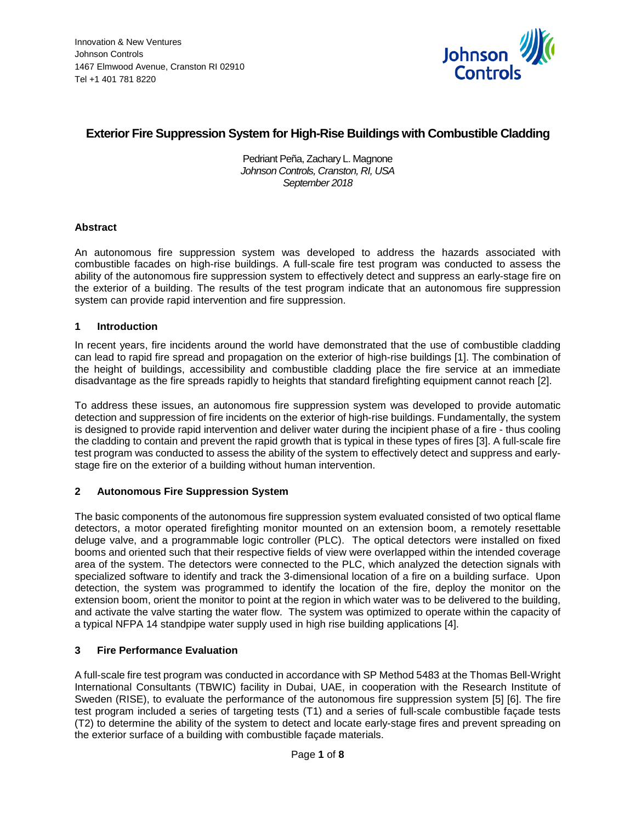

# **Exterior Fire Suppression System for High-Rise Buildings with Combustible Cladding**

Pedriant Peña, Zachary L. Magnone *Johnson Controls, Cranston, RI, USA September 2018*

# **Abstract**

An autonomous fire suppression system was developed to address the hazards associated with combustible facades on high-rise buildings. A full-scale fire test program was conducted to assess the ability of the autonomous fire suppression system to effectively detect and suppress an early-stage fire on the exterior of a building. The results of the test program indicate that an autonomous fire suppression system can provide rapid intervention and fire suppression.

#### **1 Introduction**

In recent years, fire incidents around the world have demonstrated that the use of combustible cladding can lead to rapid fire spread and propagation on the exterior of high-rise buildings [1]. The combination of the height of buildings, accessibility and combustible cladding place the fire service at an immediate disadvantage as the fire spreads rapidly to heights that standard firefighting equipment cannot reach [2].

To address these issues, an autonomous fire suppression system was developed to provide automatic detection and suppression of fire incidents on the exterior of high-rise buildings. Fundamentally, the system is designed to provide rapid intervention and deliver water during the incipient phase of a fire - thus cooling the cladding to contain and prevent the rapid growth that is typical in these types of fires [3]. A full-scale fire test program was conducted to assess the ability of the system to effectively detect and suppress and earlystage fire on the exterior of a building without human intervention.

# **2 Autonomous Fire Suppression System**

The basic components of the autonomous fire suppression system evaluated consisted of two optical flame detectors, a motor operated firefighting monitor mounted on an extension boom, a remotely resettable deluge valve, and a programmable logic controller (PLC). The optical detectors were installed on fixed booms and oriented such that their respective fields of view were overlapped within the intended coverage area of the system. The detectors were connected to the PLC, which analyzed the detection signals with specialized software to identify and track the 3-dimensional location of a fire on a building surface. Upon detection, the system was programmed to identify the location of the fire, deploy the monitor on the extension boom, orient the monitor to point at the region in which water was to be delivered to the building, and activate the valve starting the water flow. The system was optimized to operate within the capacity of a typical NFPA 14 standpipe water supply used in high rise building applications [4].

# **3 Fire Performance Evaluation**

A full-scale fire test program was conducted in accordance with SP Method 5483 at the Thomas Bell-Wright International Consultants (TBWIC) facility in Dubai, UAE, in cooperation with the Research Institute of Sweden (RISE), to evaluate the performance of the autonomous fire suppression system [5] [6]. The fire test program included a series of targeting tests (T1) and a series of full-scale combustible façade tests (T2) to determine the ability of the system to detect and locate early-stage fires and prevent spreading on the exterior surface of a building with combustible façade materials.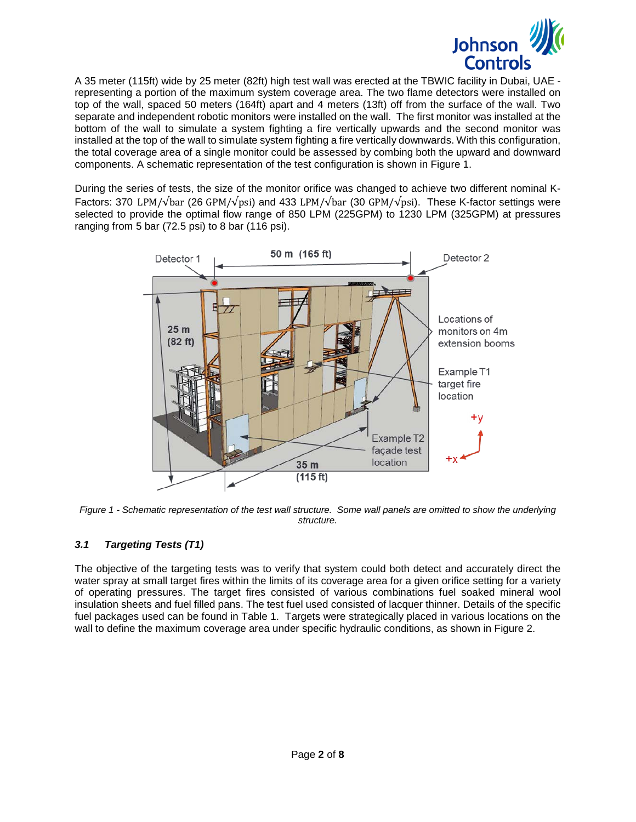

A 35 meter (115ft) wide by 25 meter (82ft) high test wall was erected at the TBWIC facility in Dubai, UAE representing a portion of the maximum system coverage area. The two flame detectors were installed on top of the wall, spaced 50 meters (164ft) apart and 4 meters (13ft) off from the surface of the wall. Two separate and independent robotic monitors were installed on the wall. The first monitor was installed at the bottom of the wall to simulate a system fighting a fire vertically upwards and the second monitor was installed at the top of the wall to simulate system fighting a fire vertically downwards. With this configuration, the total coverage area of a single monitor could be assessed by combing both the upward and downward components. A schematic representation of the test configuration is shown in [Figure 1.](#page-1-0)

During the series of tests, the size of the monitor orifice was changed to achieve two different nominal K-Factors: 370 LPM/√bar (26 GPM/√psi) and 433 LPM/√bar (30 GPM/√psi). These K-factor settings were selected to provide the optimal flow range of 850 LPM (225GPM) to 1230 LPM (325GPM) at pressures ranging from 5 bar (72.5 psi) to 8 bar (116 psi).



<span id="page-1-0"></span>*Figure 1 - Schematic representation of the test wall structure. Some wall panels are omitted to show the underlying structure.*

# *3.1 Targeting Tests (T1)*

The objective of the targeting tests was to verify that system could both detect and accurately direct the water spray at small target fires within the limits of its coverage area for a given orifice setting for a variety of operating pressures. The target fires consisted of various combinations fuel soaked mineral wool insulation sheets and fuel filled pans. The test fuel used consisted of lacquer thinner. Details of the specific fuel packages used can be found in [Table 1.](#page-2-0) Targets were strategically placed in various locations on the wall to define the maximum coverage area under specific hydraulic conditions, as shown in [Figure 2.](#page-2-1)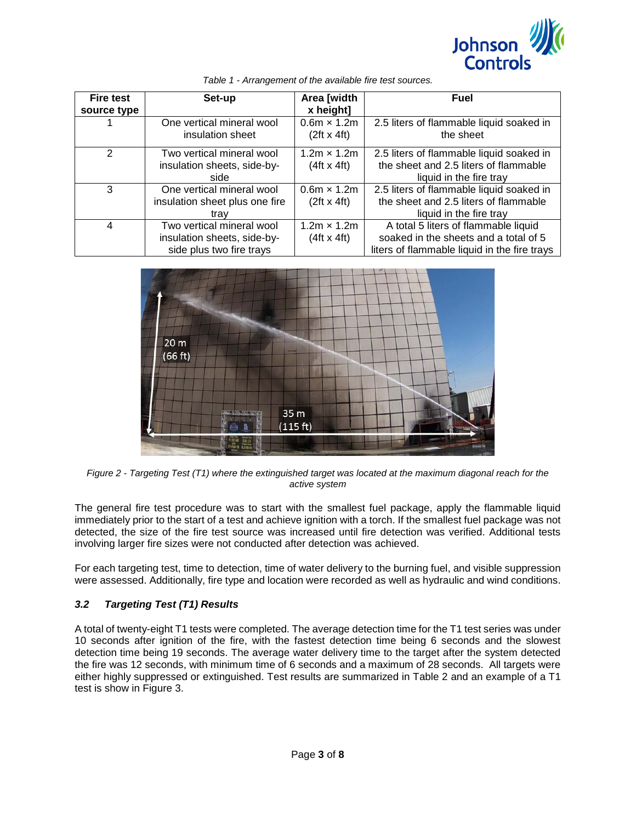

<span id="page-2-0"></span>

| <b>Fire test</b><br>source type | Set-up                                                                               | Area [width<br>x height]                 | <b>Fuel</b>                                                                                                                   |
|---------------------------------|--------------------------------------------------------------------------------------|------------------------------------------|-------------------------------------------------------------------------------------------------------------------------------|
|                                 | One vertical mineral wool<br>insulation sheet                                        | $0.6m \times 1.2m$<br>$(2ft \times 4ft)$ | 2.5 liters of flammable liquid soaked in<br>the sheet                                                                         |
| 2                               | Two vertical mineral wool<br>insulation sheets, side-by-                             | $1.2m \times 1.2m$<br>$(4ft \times 4ft)$ | 2.5 liters of flammable liquid soaked in<br>the sheet and 2.5 liters of flammable                                             |
|                                 | side                                                                                 |                                          | liquid in the fire tray                                                                                                       |
| 3                               | One vertical mineral wool<br>insulation sheet plus one fire<br>trav                  | $0.6m \times 1.2m$<br>$(2ft \times 4ft)$ | 2.5 liters of flammable liquid soaked in<br>the sheet and 2.5 liters of flammable<br>liquid in the fire tray                  |
| 4                               | Two vertical mineral wool<br>insulation sheets, side-by-<br>side plus two fire trays | $1.2m \times 1.2m$<br>$(4ft \times 4ft)$ | A total 5 liters of flammable liquid<br>soaked in the sheets and a total of 5<br>liters of flammable liquid in the fire trays |

*Table 1 - Arrangement of the available fire test sources.*



<span id="page-2-1"></span>*Figure 2 - Targeting Test (T1) where the extinguished target was located at the maximum diagonal reach for the active system*

The general fire test procedure was to start with the smallest fuel package, apply the flammable liquid immediately prior to the start of a test and achieve ignition with a torch. If the smallest fuel package was not detected, the size of the fire test source was increased until fire detection was verified. Additional tests involving larger fire sizes were not conducted after detection was achieved.

For each targeting test, time to detection, time of water delivery to the burning fuel, and visible suppression were assessed. Additionally, fire type and location were recorded as well as hydraulic and wind conditions.

# *3.2 Targeting Test (T1) Results*

A total of twenty-eight T1 tests were completed. The average detection time for the T1 test series was under 10 seconds after ignition of the fire, with the fastest detection time being 6 seconds and the slowest detection time being 19 seconds. The average water delivery time to the target after the system detected the fire was 12 seconds, with minimum time of 6 seconds and a maximum of 28 seconds. All targets were either highly suppressed or extinguished. Test results are summarized in Table 2 and an example of a T1 test is show in [Figure 3.](#page-3-0)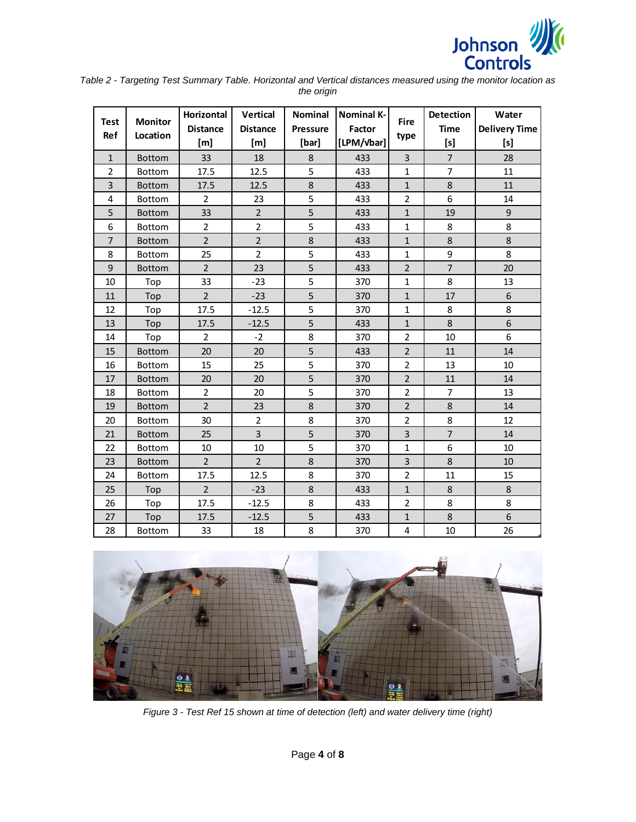

*Table 2 - Targeting Test Summary Table. Horizontal and Vertical distances measured using the monitor location as the origin*

| <b>Test</b><br><b>Ref</b> | <b>Monitor</b><br>Location | <b>Horizontal</b><br><b>Distance</b><br>[m] | Vertical<br><b>Distance</b><br>[m] | <b>Nominal</b><br><b>Pressure</b><br>[bar] | <b>Nominal K-</b><br>Factor<br>[LPM/Vbar] | <b>Fire</b><br>type | <b>Detection</b><br><b>Time</b><br>[s] | Water<br><b>Delivery Time</b><br>[s] |
|---------------------------|----------------------------|---------------------------------------------|------------------------------------|--------------------------------------------|-------------------------------------------|---------------------|----------------------------------------|--------------------------------------|
| $\mathbf{1}$              | <b>Bottom</b>              | 33                                          | 18                                 | 8                                          | 433                                       | 3                   | $\overline{7}$                         | 28                                   |
| $\overline{2}$            | Bottom                     | 17.5                                        | 12.5                               | 5                                          | 433                                       | $\mathbf{1}$        | 7                                      | 11                                   |
| 3                         | <b>Bottom</b>              | 17.5                                        | 12.5                               | 8                                          | 433                                       | $\mathbf{1}$        | 8                                      | 11                                   |
| 4                         | Bottom                     | $\overline{2}$                              | 23                                 | 5                                          | 433                                       | $\overline{2}$      | 6                                      | 14                                   |
| 5                         | <b>Bottom</b>              | 33                                          | $\overline{2}$                     | 5                                          | 433                                       | $\mathbf{1}$        | 19                                     | $\mathsf 9$                          |
| 6                         | Bottom                     | $\overline{2}$                              | $\overline{2}$                     | 5                                          | 433                                       | 1                   | 8                                      | 8                                    |
| $\overline{7}$            | <b>Bottom</b>              | $\overline{2}$                              | $\overline{2}$                     | 8                                          | 433                                       | $\mathbf{1}$        | 8                                      | 8                                    |
| 8                         | <b>Bottom</b>              | 25                                          | $\overline{2}$                     | 5                                          | 433                                       | 1                   | 9                                      | 8                                    |
| 9                         | <b>Bottom</b>              | $\overline{2}$                              | 23                                 | 5                                          | 433                                       | $\overline{2}$      | $\overline{7}$                         | 20                                   |
| 10                        | Top                        | 33                                          | $-23$                              | 5                                          | 370                                       | 1                   | 8                                      | 13                                   |
| 11                        | Top                        | $\overline{2}$                              | $-23$                              | $\overline{5}$                             | 370                                       | $\mathbf{1}$        | 17                                     | 6                                    |
| 12                        | Top                        | 17.5                                        | $-12.5$                            | 5                                          | 370                                       | 1                   | 8                                      | 8                                    |
| 13                        | Top                        | 17.5                                        | $-12.5$                            | 5                                          | 433                                       | $\mathbf{1}$        | 8                                      | 6                                    |
| 14                        | Top                        | $\overline{2}$                              | $-2$                               | 8                                          | 370                                       | $\overline{2}$      | 10                                     | 6                                    |
| 15                        | <b>Bottom</b>              | 20                                          | 20                                 | 5                                          | 433                                       | $\overline{2}$      | 11                                     | 14                                   |
| 16                        | Bottom                     | 15                                          | 25                                 | 5                                          | 370                                       | $\overline{2}$      | 13                                     | 10                                   |
| 17                        | <b>Bottom</b>              | 20                                          | 20                                 | 5                                          | 370                                       | $\overline{2}$      | 11                                     | 14                                   |
| 18                        | <b>Bottom</b>              | $\overline{2}$                              | 20                                 | 5                                          | 370                                       | $\overline{2}$      | $\overline{7}$                         | 13                                   |
| 19                        | <b>Bottom</b>              | $\overline{2}$                              | 23                                 | 8                                          | 370                                       | $\overline{2}$      | 8                                      | 14                                   |
| 20                        | Bottom                     | 30                                          | $\overline{2}$                     | 8                                          | 370                                       | $\overline{2}$      | 8                                      | 12                                   |
| 21                        | <b>Bottom</b>              | 25                                          | $\overline{3}$                     | 5                                          | 370                                       | 3                   | $\overline{7}$                         | 14                                   |
| 22                        | <b>Bottom</b>              | 10                                          | 10                                 | 5                                          | 370                                       | $\mathbf{1}$        | 6                                      | 10                                   |
| 23                        | <b>Bottom</b>              | $\overline{2}$                              | $\overline{2}$                     | 8                                          | 370                                       | 3                   | 8                                      | 10                                   |
| 24                        | Bottom                     | 17.5                                        | 12.5                               | 8                                          | 370                                       | $\overline{2}$      | 11                                     | 15                                   |
| 25                        | Top                        | $\overline{2}$                              | $-23$                              | 8                                          | 433                                       | $\mathbf{1}$        | 8                                      | 8                                    |
| 26                        | Top                        | 17.5                                        | $-12.5$                            | 8                                          | 433                                       | $\overline{2}$      | 8                                      | 8                                    |
| 27                        | Top                        | 17.5                                        | $-12.5$                            | 5                                          | 433                                       | $\mathbf{1}$        | 8                                      | 6                                    |
| 28                        | <b>Bottom</b>              | 33                                          | 18                                 | 8                                          | 370                                       | 4                   | 10                                     | 26                                   |

<span id="page-3-0"></span>

*Figure 3 - Test Ref 15 shown at time of detection (left) and water delivery time (right)*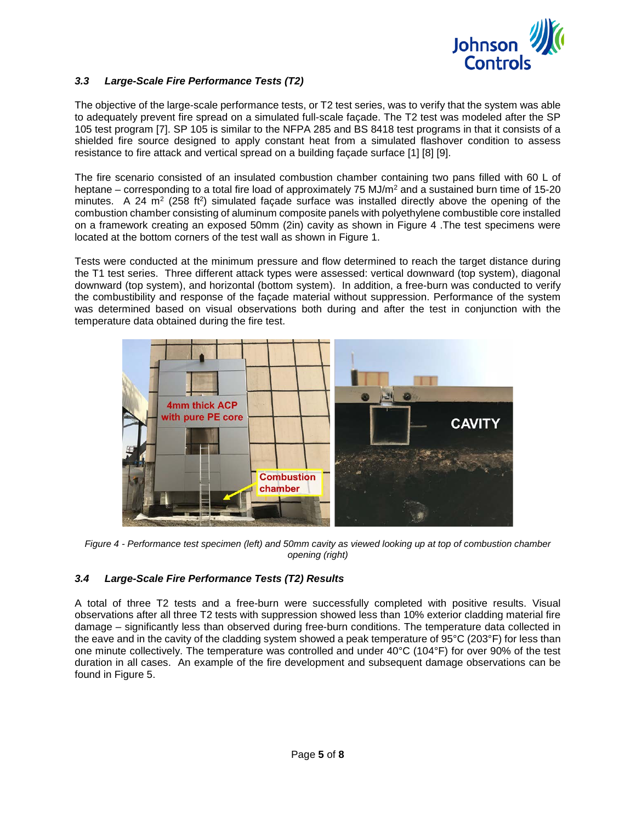

# *3.3 Large-Scale Fire Performance Tests (T2)*

The objective of the large-scale performance tests, or T2 test series, was to verify that the system was able to adequately prevent fire spread on a simulated full-scale façade. The T2 test was modeled after the SP 105 test program [7]. SP 105 is similar to the NFPA 285 and BS 8418 test programs in that it consists of a shielded fire source designed to apply constant heat from a simulated flashover condition to assess resistance to fire attack and vertical spread on a building façade surface [1] [8] [9].

The fire scenario consisted of an insulated combustion chamber containing two pans filled with 60 L of heptane – corresponding to a total fire load of approximately 75 MJ/ $m<sup>2</sup>$  and a sustained burn time of 15-20 minutes. A 24  $m<sup>2</sup>$  (258 ft<sup>2</sup>) simulated façade surface was installed directly above the opening of the combustion chamber consisting of aluminum composite panels with polyethylene combustible core installed on a framework creating an exposed 50mm (2in) cavity as shown in [Figure 4](#page-4-0) .The test specimens were located at the bottom corners of the test wall as shown in [Figure 1.](#page-1-0) 

Tests were conducted at the minimum pressure and flow determined to reach the target distance during the T1 test series. Three different attack types were assessed: vertical downward (top system), diagonal downward (top system), and horizontal (bottom system). In addition, a free-burn was conducted to verify the combustibility and response of the façade material without suppression. Performance of the system was determined based on visual observations both during and after the test in conjunction with the temperature data obtained during the fire test.



<span id="page-4-0"></span>*Figure 4 - Performance test specimen (left) and 50mm cavity as viewed looking up at top of combustion chamber opening (right)*

# *3.4 Large-Scale Fire Performance Tests (T2) Results*

A total of three T2 tests and a free-burn were successfully completed with positive results. Visual observations after all three T2 tests with suppression showed less than 10% exterior cladding material fire damage – significantly less than observed during free-burn conditions. The temperature data collected in the eave and in the cavity of the cladding system showed a peak temperature of 95°C (203°F) for less than one minute collectively. The temperature was controlled and under 40°C (104°F) for over 90% of the test duration in all cases. An example of the fire development and subsequent damage observations can be found in [Figure 5.](#page-5-0)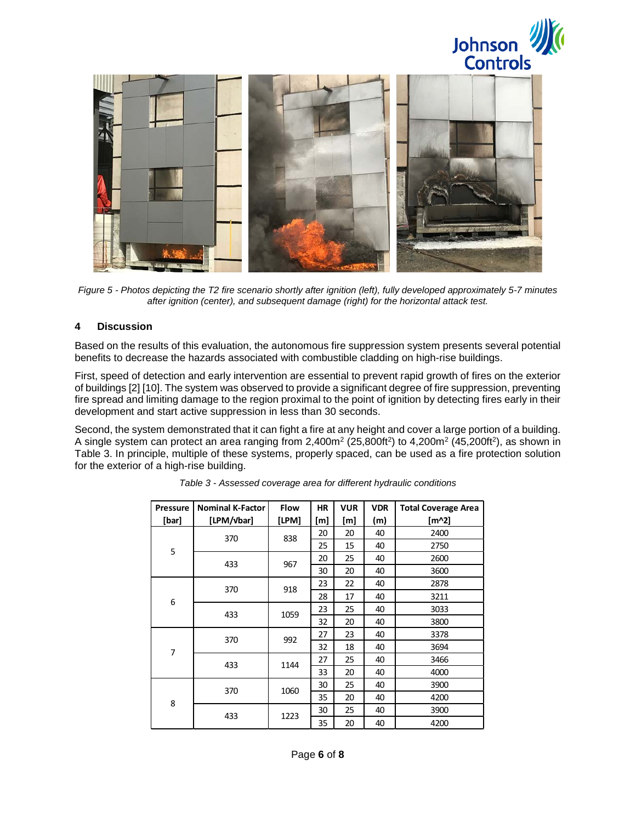



*Figure 5 - Photos depicting the T2 fire scenario shortly after ignition (left), fully developed approximately 5-7 minutes after ignition (center), and subsequent damage (right) for the horizontal attack test.*

#### <span id="page-5-0"></span>**4 Discussion**

Based on the results of this evaluation, the autonomous fire suppression system presents several potential benefits to decrease the hazards associated with combustible cladding on high-rise buildings.

First, speed of detection and early intervention are essential to prevent rapid growth of fires on the exterior of buildings [2] [10]. The system was observed to provide a significant degree of fire suppression, preventing fire spread and limiting damage to the region proximal to the point of ignition by detecting fires early in their development and start active suppression in less than 30 seconds.

<span id="page-5-1"></span>Second, the system demonstrated that it can fight a fire at any height and cover a large portion of a building. A single system can protect an area ranging from  $2,400m^2$  ( $25,800ft^2$ ) to  $4,200m^2$  ( $45,200ft^2$ ), as shown in [Table 3.](#page-5-1) In principle, multiple of these systems, properly spaced, can be used as a fire protection solution for the exterior of a high-rise building.

| Pressure       | <b>Nominal K-Factor</b> | <b>Flow</b> | <b>HR</b> | <b>VUR</b> | <b>VDR</b> | <b>Total Coverage Area</b> |
|----------------|-------------------------|-------------|-----------|------------|------------|----------------------------|
| [bar]          | [LPM/vbar]              | [LPM]       | [m]       | [m]        | (m)        | [m^2]                      |
| 5              | 370                     | 838         | 20        | 20         | 40         | 2400                       |
|                |                         |             | 25        | 15         | 40         | 2750                       |
|                | 433                     | 967         | 20        | 25         | 40         | 2600                       |
|                |                         |             | 30        | 20         | 40         | 3600                       |
| 6              | 370                     | 918         | 23        | 22         | 40         | 2878                       |
|                |                         |             | 28        | 17         | 40         | 3211                       |
|                | 433                     | 1059        | 23        | 25         | 40         | 3033                       |
|                |                         |             | 32        | 20         | 40         | 3800                       |
| $\overline{7}$ | 370                     | 992         | 27        | 23         | 40         | 3378                       |
|                |                         |             | 32        | 18         | 40         | 3694                       |
|                | 433                     | 1144        | 27        | 25         | 40         | 3466                       |
|                |                         |             | 33        | 20         | 40         | 4000                       |
| 8              | 370                     | 1060        | 30        | 25         | 40         | 3900                       |
|                |                         |             | 35        | 20         | 40         | 4200                       |
|                | 433                     | 1223        | 30        | 25         | 40         | 3900                       |
|                |                         |             | 35        | 20         | 40         | 4200                       |

*Table 3 - Assessed coverage area for different hydraulic conditions*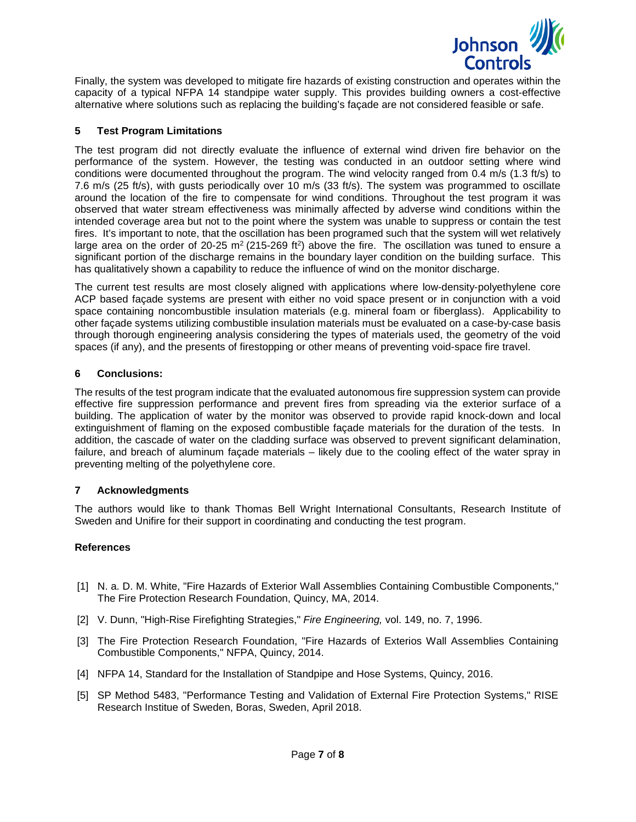

Finally, the system was developed to mitigate fire hazards of existing construction and operates within the capacity of a typical NFPA 14 standpipe water supply. This provides building owners a cost-effective alternative where solutions such as replacing the building's façade are not considered feasible or safe.

# **5 Test Program Limitations**

The test program did not directly evaluate the influence of external wind driven fire behavior on the performance of the system. However, the testing was conducted in an outdoor setting where wind conditions were documented throughout the program. The wind velocity ranged from 0.4 m/s (1.3 ft/s) to 7.6 m/s (25 ft/s), with gusts periodically over 10 m/s (33 ft/s). The system was programmed to oscillate around the location of the fire to compensate for wind conditions. Throughout the test program it was observed that water stream effectiveness was minimally affected by adverse wind conditions within the intended coverage area but not to the point where the system was unable to suppress or contain the test fires. It's important to note, that the oscillation has been programed such that the system will wet relatively large area on the order of 20-25 m<sup>2</sup> (215-269 ft<sup>2</sup>) above the fire. The oscillation was tuned to ensure a significant portion of the discharge remains in the boundary layer condition on the building surface. This has qualitatively shown a capability to reduce the influence of wind on the monitor discharge.

The current test results are most closely aligned with applications where low-density-polyethylene core ACP based façade systems are present with either no void space present or in conjunction with a void space containing noncombustible insulation materials (e.g. mineral foam or fiberglass). Applicability to other façade systems utilizing combustible insulation materials must be evaluated on a case-by-case basis through thorough engineering analysis considering the types of materials used, the geometry of the void spaces (if any), and the presents of firestopping or other means of preventing void-space fire travel.

#### **6 Conclusions:**

The results of the test program indicate that the evaluated autonomous fire suppression system can provide effective fire suppression performance and prevent fires from spreading via the exterior surface of a building. The application of water by the monitor was observed to provide rapid knock-down and local extinguishment of flaming on the exposed combustible façade materials for the duration of the tests. In addition, the cascade of water on the cladding surface was observed to prevent significant delamination, failure, and breach of aluminum façade materials – likely due to the cooling effect of the water spray in preventing melting of the polyethylene core.

# **7 Acknowledgments**

The authors would like to thank Thomas Bell Wright International Consultants, Research Institute of Sweden and Unifire for their support in coordinating and conducting the test program.

# **References**

- [1] N. a. D. M. White, "Fire Hazards of Exterior Wall Assemblies Containing Combustible Components," The Fire Protection Research Foundation, Quincy, MA, 2014.
- [2] V. Dunn, "High-Rise Firefighting Strategies," *Fire Engineering,* vol. 149, no. 7, 1996.
- [3] The Fire Protection Research Foundation, "Fire Hazards of Exterios Wall Assemblies Containing Combustible Components," NFPA, Quincy, 2014.
- [4] NFPA 14, Standard for the Installation of Standpipe and Hose Systems, Quincy, 2016.
- [5] SP Method 5483, "Performance Testing and Validation of External Fire Protection Systems," RISE Research Institue of Sweden, Boras, Sweden, April 2018.